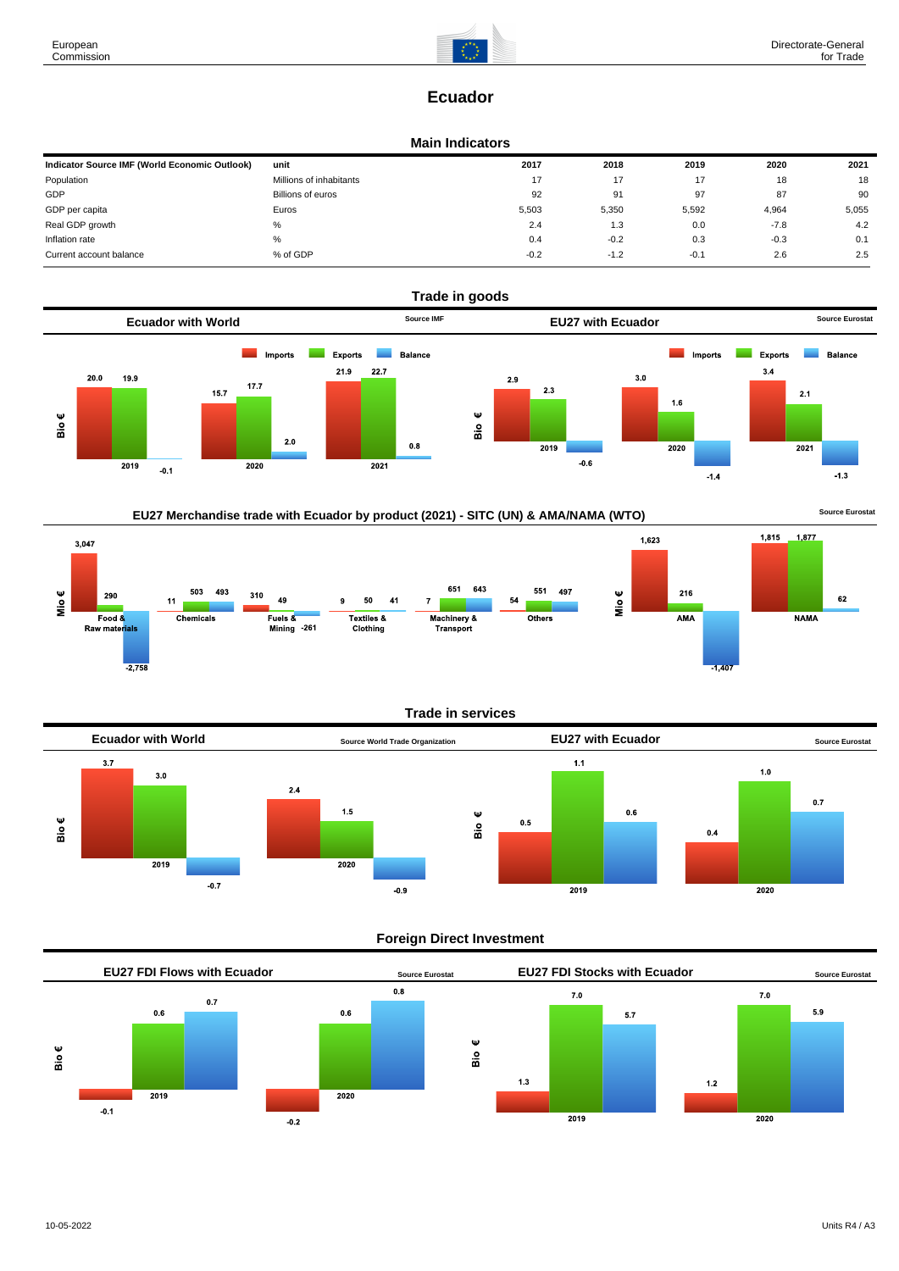

# **Ecuador**

### **Main Indicators**

| Indicator Source IMF (World Economic Outlook) | unit                    | 2017   | 2018   | 2019   | 2020   | 2021  |
|-----------------------------------------------|-------------------------|--------|--------|--------|--------|-------|
| Population                                    | Millions of inhabitants | 17     |        | 17     | 18     | 18    |
| GDP                                           | Billions of euros       | 92     | 91     | 97     | 87     | 90    |
| GDP per capita                                | Euros                   | 5,503  | 5,350  | 5,592  | 4,964  | 5,055 |
| Real GDP growth                               | %                       | 2.4    | 1.3    | 0.0    | $-7.8$ | 4.2   |
| Inflation rate                                | $\%$                    | 0.4    | $-0.2$ | 0.3    | $-0.3$ | 0.1   |
| Current account balance                       | % of GDP                | $-0.2$ | $-1.2$ | $-0.1$ | 2.6    | 2.5   |





## **Trade in services**



## **Foreign Direct Investment**